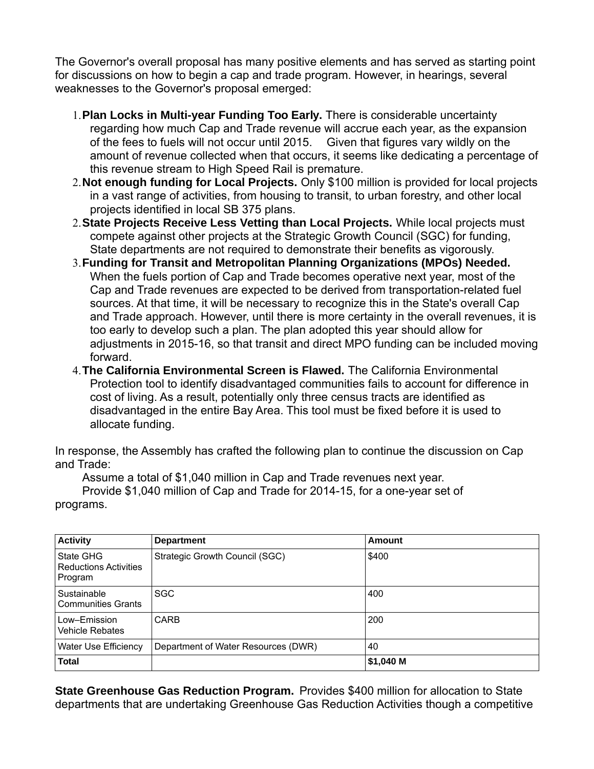The Governor's overall proposal has many positive elements and has served as starting point for discussions on how to begin a cap and trade program. However, in hearings, several weaknesses to the Governor's proposal emerged:

- 1.**Plan Locks in Multi-year Funding Too Early.** There is considerable uncertainty regarding how much Cap and Trade revenue will accrue each year, as the expansion of the fees to fuels will not occur until 2015. Given that figures vary wildly on the amount of revenue collected when that occurs, it seems like dedicating a percentage of this revenue stream to High Speed Rail is premature.
- 2.**Not enough funding for Local Projects.** Only \$100 million is provided for local projects in a vast range of activities, from housing to transit, to urban forestry, and other local projects identified in local SB 375 plans.
- 2.**State Projects Receive Less Vetting than Local Projects.** While local projects must compete against other projects at the Strategic Growth Council (SGC) for funding, State departments are not required to demonstrate their benefits as vigorously.
- 3.**Funding for Transit and Metropolitan Planning Organizations (MPOs) Needed.**  When the fuels portion of Cap and Trade becomes operative next year, most of the Cap and Trade revenues are expected to be derived from transportation-related fuel sources. At that time, it will be necessary to recognize this in the State's overall Cap and Trade approach. However, until there is more certainty in the overall revenues, it is too early to develop such a plan. The plan adopted this year should allow for adjustments in 2015-16, so that transit and direct MPO funding can be included moving forward.
- 4.**The California Environmental Screen is Flawed.** The California Environmental Protection tool to identify disadvantaged communities fails to account for difference in cost of living. As a result, potentially only three census tracts are identified as disadvantaged in the entire Bay Area. This tool must be fixed before it is used to allocate funding.

In response, the Assembly has crafted the following plan to continue the discussion on Cap and Trade:

Assume a total of \$1,040 million in Cap and Trade revenues next year.

Provide \$1,040 million of Cap and Trade for 2014-15, for a one-year set of programs.

| <b>Activity</b>                                      | <b>Department</b>                   | Amount    |
|------------------------------------------------------|-------------------------------------|-----------|
| State GHG<br><b>Reductions Activities</b><br>Program | Strategic Growth Council (SGC)      | \$400     |
| Sustainable<br><b>Communities Grants</b>             | <b>SGC</b>                          | 400       |
| Low–Emission<br>Vehicle Rebates                      | <b>CARB</b>                         | 200       |
| <b>Water Use Efficiency</b>                          | Department of Water Resources (DWR) | 40        |
| <b>Total</b>                                         |                                     | \$1,040 M |

**State Greenhouse Gas Reduction Program.** Provides \$400 million for allocation to State departments that are undertaking Greenhouse Gas Reduction Activities though a competitive